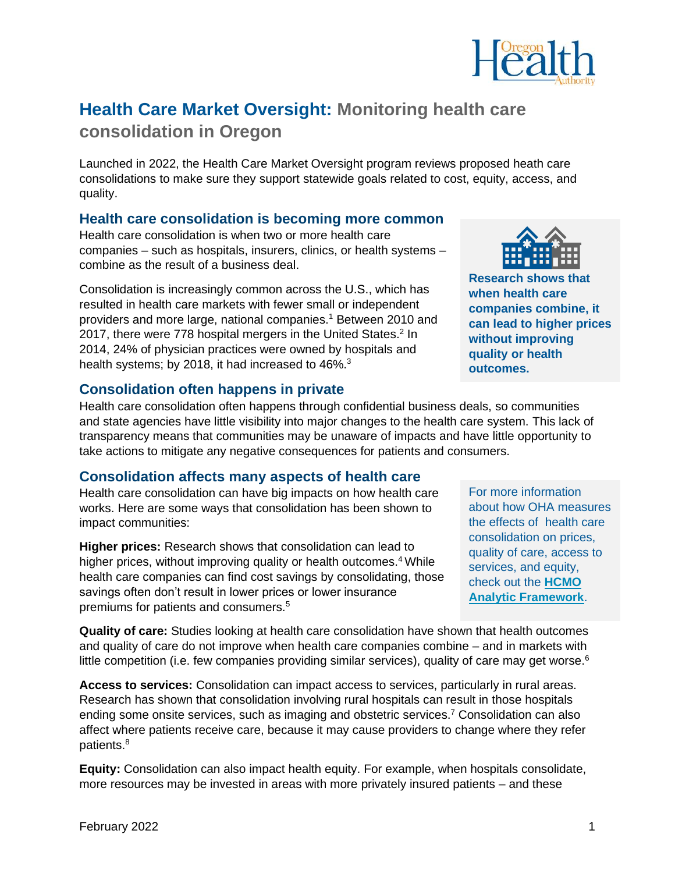

# **Health Care Market Oversight: Monitoring health care consolidation in Oregon**

Launched in 2022, the Health Care Market Oversight program reviews proposed heath care consolidations to make sure they support statewide goals related to cost, equity, access, and quality.

#### **Health care consolidation is becoming more common**

Health care consolidation is when two or more health care companies – such as hospitals, insurers, clinics, or health systems – combine as the result of a business deal.

Consolidation is increasingly common across the U.S., which has resulted in health care markets with fewer small or independent providers and more large, national companies. <sup>1</sup> Between 2010 and 2017, there were 778 hospital mergers in the United States.<sup>2</sup> In 2014, 24% of physician practices were owned by hospitals and health systems; by 2018, it had increased to 46%.<sup>3</sup>



**Research shows that when health care companies combine, it can lead to higher prices without improving quality or health outcomes.**

#### **Consolidation often happens in private**

Health care consolidation often happens through confidential business deals, so communities and state agencies have little visibility into major changes to the health care system. This lack of transparency means that communities may be unaware of impacts and have little opportunity to take actions to mitigate any negative consequences for patients and consumers.

### **Consolidation affects many aspects of health care**

Health care consolidation can have big impacts on how health care works. Here are some ways that consolidation has been shown to impact communities:

**Higher prices:** Research shows that consolidation can lead to higher prices, without improving quality or health outcomes.<sup>4</sup> While health care companies can find cost savings by consolidating, those savings often don't result in lower prices or lower insurance premiums for patients and consumers.<sup>5</sup>

For more information about how OHA measures the effects of health care consolidation on prices, quality of care, access to services, and equity, check out the **[HCMO](https://www.oregon.gov/oha/HPA/HP/HCMOPageDocs/OHA-HCMO-Analytic-Framework-FINAL.pdf)  [Analytic Framework](https://www.oregon.gov/oha/HPA/HP/HCMOPageDocs/OHA-HCMO-Analytic-Framework-FINAL.pdf)**.

**Quality of care:** Studies looking at health care consolidation have shown that health outcomes and quality of care do not improve when health care companies combine – and in markets with little competition (i.e. few companies providing similar services), quality of care may get worse. $6$ 

**Access to services:** Consolidation can impact access to services, particularly in rural areas. Research has shown that consolidation involving rural hospitals can result in those hospitals ending some onsite services, such as imaging and obstetric services. <sup>7</sup> Consolidation can also affect where patients receive care, because it may cause providers to change where they refer patients. 8

**Equity:** Consolidation can also impact health equity. For example, when hospitals consolidate, more resources may be invested in areas with more privately insured patients – and these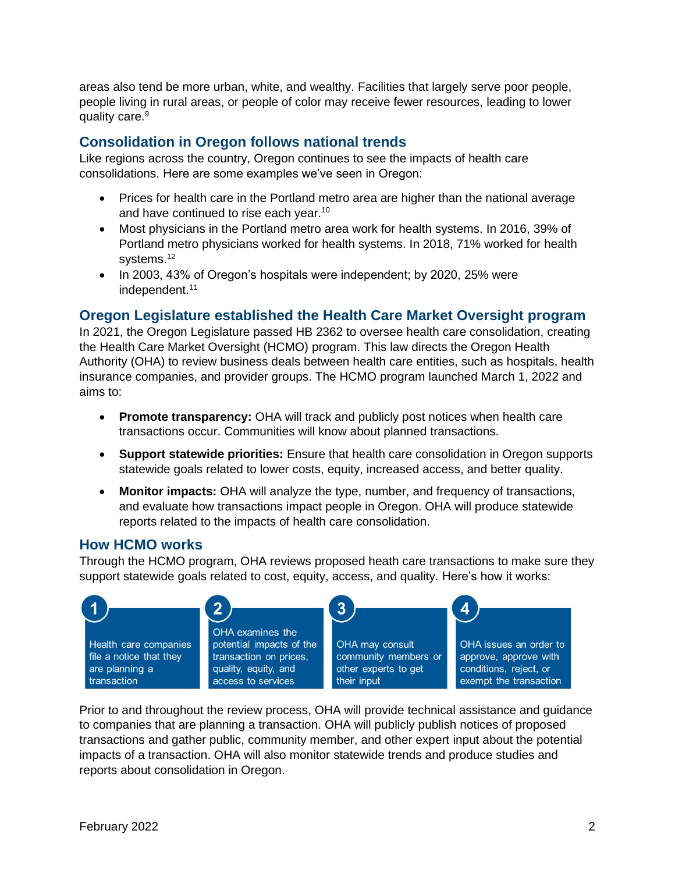areas also tend be more urban, white, and wealthy. Facilities that largely serve poor people, people living in rural areas, or people of color may receive fewer resources, leading to lower quality care.<sup>9</sup>

#### **Consolidation in Oregon follows national trends**

Like regions across the country, Oregon continues to see the impacts of health care consolidations. Here are some examples we've seen in Oregon:

- Prices for health care in the Portland metro area are higher than the national average and have continued to rise each year.<sup>10</sup>
- Most physicians in the Portland metro area work for health systems. In 2016, 39% of Portland metro physicians worked for health systems. In 2018, 71% worked for health systems.<sup>12</sup>
- In 2003, 43% of Oregon's hospitals were independent; by 2020, 25% were independent.<sup>11</sup>

## **Oregon Legislature established the Health Care Market Oversight program**

In 2021, the Oregon Legislature passed HB 2362 to oversee health care consolidation, creating the Health Care Market Oversight (HCMO) program. This law directs the Oregon Health Authority (OHA) to review business deals between health care entities, such as hospitals, health insurance companies, and provider groups. The HCMO program launched March 1, 2022 and aims to:

- **Promote transparency:** OHA will track and publicly post notices when health care transactions occur. Communities will know about planned transactions.
- **Support statewide priorities:** Ensure that health care consolidation in Oregon supports statewide goals related to lower costs, equity, increased access, and better quality.
- **Monitor impacts:** OHA will analyze the type, number, and frequency of transactions, and evaluate how transactions impact people in Oregon. OHA will produce statewide reports related to the impacts of health care consolidation.

### **How HCMO works**

Through the HCMO program, OHA reviews proposed heath care transactions to make sure they support statewide goals related to cost, equity, access, and quality. Here's how it works:



Prior to and throughout the review process, OHA will provide technical assistance and guidance to companies that are planning a transaction. OHA will publicly publish notices of proposed transactions and gather public, community member, and other expert input about the potential impacts of a transaction. OHA will also monitor statewide trends and produce studies and reports about consolidation in Oregon.